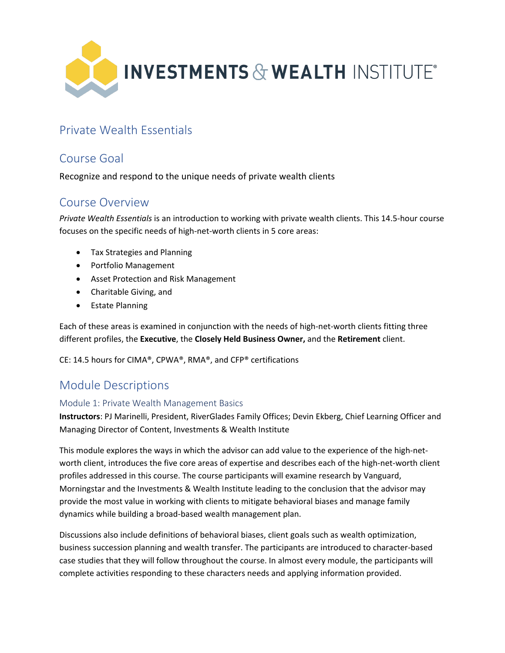

# Private Wealth Essentials

## Course Goal

Recognize and respond to the unique needs of private wealth clients

### Course Overview

*Private Wealth Essentials* is an introduction to working with private wealth clients. This 14.5-hour course focuses on the specific needs of high-net-worth clients in 5 core areas:

- Tax Strategies and Planning
- Portfolio Management
- Asset Protection and Risk Management
- Charitable Giving, and
- Estate Planning

Each of these areas is examined in conjunction with the needs of high-net-worth clients fitting three different profiles, the **Executive**, the **Closely Held Business Owner,** and the **Retirement** client.

CE: 14.5 hours for CIMA®, CPWA®, RMA®, and CFP® certifications

## Module Descriptions

#### Module 1: Private Wealth Management Basics

**Instructors**: PJ Marinelli, President, RiverGlades Family Offices; Devin Ekberg, Chief Learning Officer and Managing Director of Content, Investments & Wealth Institute

This module explores the ways in which the advisor can add value to the experience of the high-networth client, introduces the five core areas of expertise and describes each of the high-net-worth client profiles addressed in this course. The course participants will examine research by Vanguard, Morningstar and the Investments & Wealth Institute leading to the conclusion that the advisor may provide the most value in working with clients to mitigate behavioral biases and manage family dynamics while building a broad-based wealth management plan.

Discussions also include definitions of behavioral biases, client goals such as wealth optimization, business succession planning and wealth transfer. The participants are introduced to character-based case studies that they will follow throughout the course. In almost every module, the participants will complete activities responding to these characters needs and applying information provided.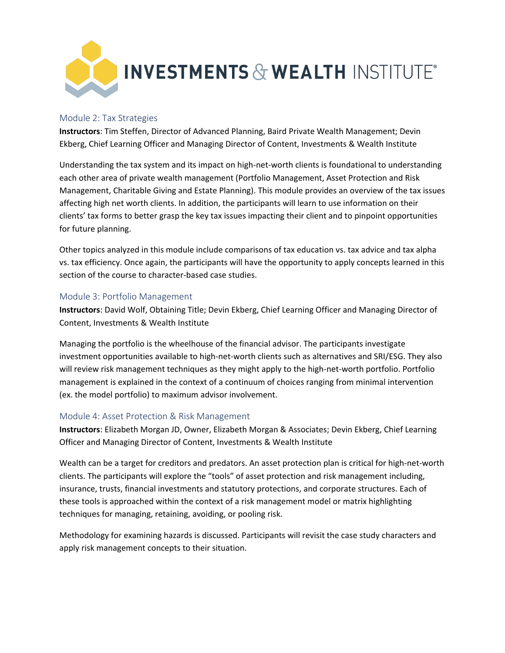

#### Module 2: Tax Strategies

**Instructors**: Tim Steffen, Director of Advanced Planning, Baird Private Wealth Management; Devin Ekberg, Chief Learning Officer and Managing Director of Content, Investments & Wealth Institute

Understanding the tax system and its impact on high-net-worth clients is foundational to understanding each other area of private wealth management (Portfolio Management, Asset Protection and Risk Management, Charitable Giving and Estate Planning). This module provides an overview of the tax issues affecting high net worth clients. In addition, the participants will learn to use information on their clients' tax forms to better grasp the key tax issues impacting their client and to pinpoint opportunities for future planning.

Other topics analyzed in this module include comparisons of tax education vs. tax advice and tax alpha vs. tax efficiency. Once again, the participants will have the opportunity to apply concepts learned in this section of the course to character-based case studies.

#### Module 3: Portfolio Management

**Instructors**: David Wolf, Obtaining Title; Devin Ekberg, Chief Learning Officer and Managing Director of Content, Investments & Wealth Institute

Managing the portfolio is the wheelhouse of the financial advisor. The participants investigate investment opportunities available to high-net-worth clients such as alternatives and SRI/ESG. They also will review risk management techniques as they might apply to the high-net-worth portfolio. Portfolio management is explained in the context of a continuum of choices ranging from minimal intervention (ex. the model portfolio) to maximum advisor involvement.

#### Module 4: Asset Protection & Risk Management

**Instructors**: Elizabeth Morgan JD, Owner, Elizabeth Morgan & Associates; Devin Ekberg, Chief Learning Officer and Managing Director of Content, Investments & Wealth Institute

Wealth can be a target for creditors and predators. An asset protection plan is critical for high-net-worth clients. The participants will explore the "tools" of asset protection and risk management including, insurance, trusts, financial investments and statutory protections, and corporate structures. Each of these tools is approached within the context of a risk management model or matrix highlighting techniques for managing, retaining, avoiding, or pooling risk.

Methodology for examining hazards is discussed. Participants will revisit the case study characters and apply risk management concepts to their situation.